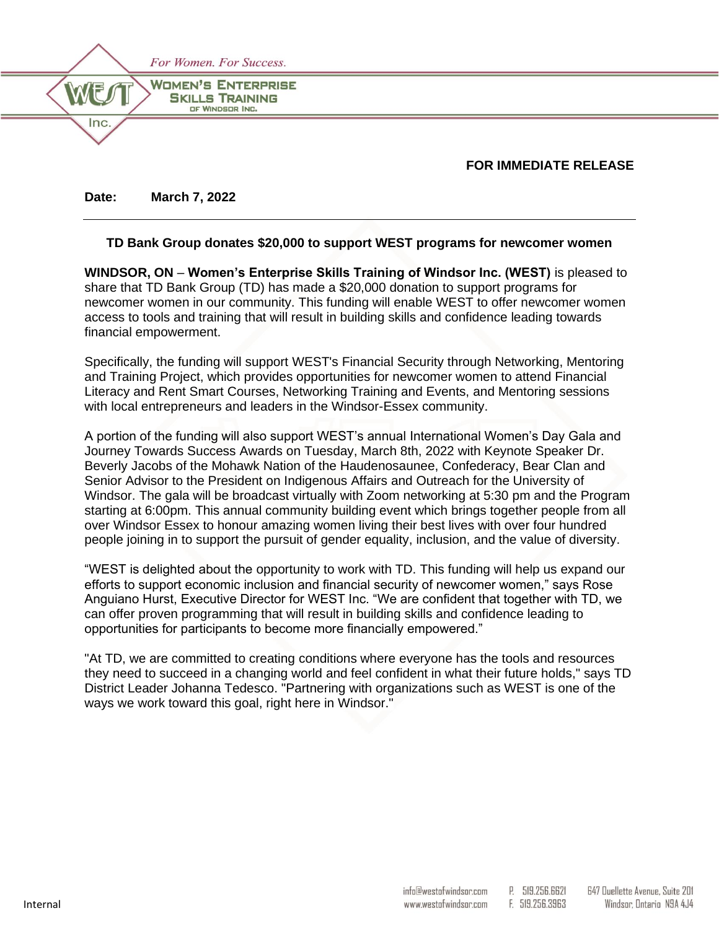

# **FOR IMMEDIATE RELEASE**

**Date: March 7, 2022**

# **TD Bank Group donates \$20,000 to support WEST programs for newcomer women**

**WINDSOR, ON** – **Women's Enterprise Skills Training of Windsor Inc. (WEST)** is pleased to share that TD Bank Group (TD) has made a \$20,000 donation to support programs for newcomer women in our community. This funding will enable WEST to offer newcomer women access to tools and training that will result in building skills and confidence leading towards financial empowerment.

Specifically, the funding will support WEST's Financial Security through Networking, Mentoring and Training Project, which provides opportunities for newcomer women to attend Financial Literacy and Rent Smart Courses, Networking Training and Events, and Mentoring sessions with local entrepreneurs and leaders in the Windsor-Essex community.

A portion of the funding will also support WEST's annual International Women's Day Gala and Journey Towards Success Awards on Tuesday, March 8th, 2022 with Keynote Speaker Dr. Beverly Jacobs of the Mohawk Nation of the Haudenosaunee, Confederacy, Bear Clan and Senior Advisor to the President on Indigenous Affairs and Outreach for the University of Windsor. The gala will be broadcast virtually with Zoom networking at 5:30 pm and the Program starting at 6:00pm. This annual community building event which brings together people from all over Windsor Essex to honour amazing women living their best lives with over four hundred people joining in to support the pursuit of gender equality, inclusion, and the value of diversity.

"WEST is delighted about the opportunity to work with TD. This funding will help us expand our efforts to support economic inclusion and financial security of newcomer women," says Rose Anguiano Hurst, Executive Director for WEST Inc. "We are confident that together with TD, we can offer proven programming that will result in building skills and confidence leading to opportunities for participants to become more financially empowered."

"At TD, we are committed to creating conditions where everyone has the tools and resources they need to succeed in a changing world and feel confident in what their future holds," says TD District Leader Johanna Tedesco. "Partnering with organizations such as WEST is one of the ways we work toward this goal, right here in Windsor."